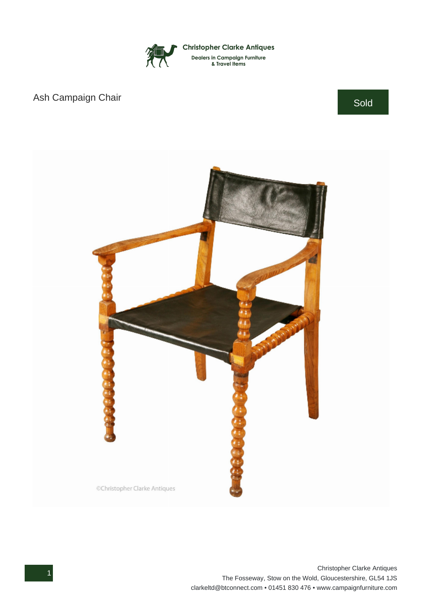

## Ash Campaign Chair Sold